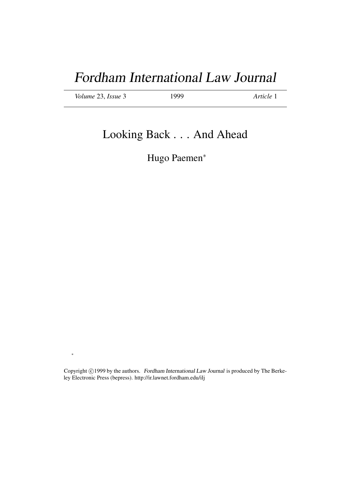# Fordham International Law Journal

*Volume* 23, *Issue* 3 1999 *Article* 1

∗

## Looking Back . . . And Ahead

Hugo Paemen<sup>∗</sup>

Copyright ©1999 by the authors. Fordham International Law Journal is produced by The Berkeley Electronic Press (bepress). http://ir.lawnet.fordham.edu/ilj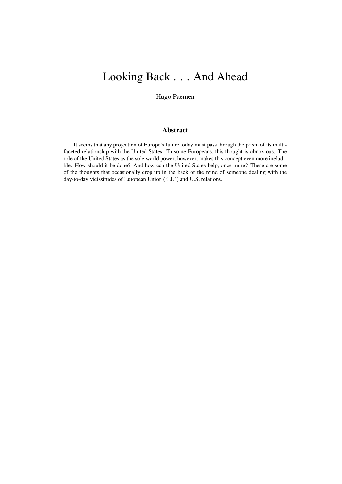## Looking Back . . . And Ahead

Hugo Paemen

## Abstract

It seems that any projection of Europe's future today must pass through the prism of its multifaceted relationship with the United States. To some Europeans, this thought is obnoxious. The role of the United States as the sole world power, however, makes this concept even more ineludible. How should it be done? And how can the United States help, once more? These are some of the thoughts that occasionally crop up in the back of the mind of someone dealing with the day-to-day vicissitudes of European Union ('EU') and U.S. relations.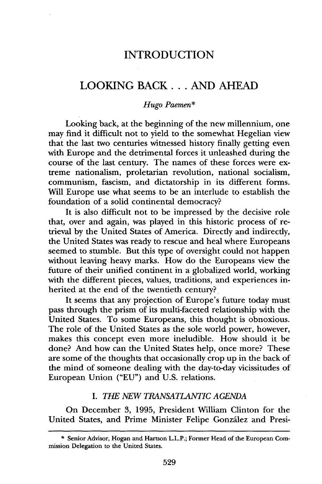## INTRODUCTION

## LOOKING BACK... AND AHEAD

### *Hugo Paemen\**

Looking back, at the beginning of the new millennium, one may find it difficult not to yield to the somewhat Hegelian view that the last two centuries witnessed history finally getting even with Europe and the detrimental forces it unleashed during the course of the last century. The names of these forces were extreme nationalism, proletarian revolution, national socialism, communism, fascism, and dictatorship in 'its different forms. Will Europe use what seems to be an interlude to establish the foundation of a solid continental democracy?

It is also difficult not to be impressed by the decisive role that, over and again, was played in this historic process of retrieval by the United States of America. Directly and indirectly, the United States was ready to rescue and heal where Europeans seemed to stumble. But this type of oversight could not happen without leaving heavy marks. How do the Europeans view the future of their unified continent in a globalized world, working with the different pieces, values, traditions, and experiences inherited at the end of the twentieth century?

It seems that any projection of Europe's future today must pass through the prism of its multi-faceted relationship with the United States. To some Europeans, this thought is obnoxious. The role of the United States as the sole world power, however, makes this concept even more ineludible. How should it be done? And how can the United States help, once more? These are some of the thoughts that occasionally crop up in the back of the mind of someone dealing with the day-to-day vicissitudes of European Union ("EU") and U.S. relations.

### *I. THE NEW TRANSATLANTIC AGENDA*

On December 3, 1995, President William Clinton for the United States, and Prime Minister Felipe González and Presi-

<sup>\*</sup> Senior Advisor, Hogan and Hartson L.L.P.; Former Head of the European Commission Delegation to the United States.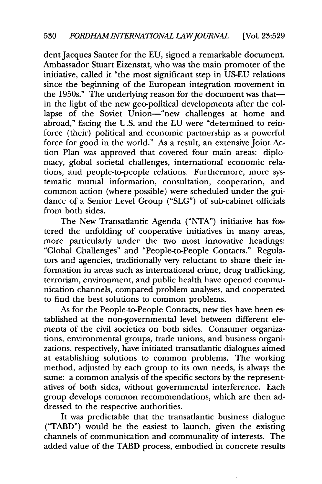dent Jacques Santer for the EU, signed a remarkable document. Ambassador Stuart Eizenstat, who was the main promoter of the initiative, called it "the most significant step in US-EU relations since the beginning of the European integration movement in the 1950s." The underlying reason for the document was that in the light of the new geo-political developments after the collapse of the Soviet Union-"new challenges at home and abroad," facing the U.S. and the EU were "determined to reinforce (their) political and economic partnership as a powerful force for good in the world." As a result, an extensive Joint Action Plan was approved that covered four main areas: diplomacy, global societal challenges, international economic relations, and people-to-people relations. Furthermore, more systematic mutual information, consultation, cooperation, and common action (where possible) were scheduled under the guidance of a Senior Level Group ("SLG") of sub-cabinet officials from both sides.

The New Transatlantic Agenda ("NTA") initiative has fostered the unfolding of cooperative initiatives in many areas, more particularly under the two most innovative headings: "Global Challenges" and "People-to-People Contacts." Regulators and agencies, traditionally very reluctant to share their information in areas such as international crime, drug trafficking, terrorism, environment, and public health have opened communication channels, compared problem analyses, and cooperated to find the best solutions to common problems.

As for the People-to-People Contacts, new ties have been established at the non-governmental level between different elements of the civil societies on both sides. Consumer organizations, environmental groups, trade unions, and business organizations, respectively, have initiated transatlantic dialogues aimed at establishing solutions to common problems. The working method, adjusted by each group to its own needs, is always the same: a common analysis of the specific sectors by the representatives of both sides, without governmental interference. Each group develops common recommendations, which are then addressed to the respective authorities.

It was predictable that the transatlantic business dialogue ("TABD") would be the easiest to launch, given the existing channels of communication and communality of interests. The added value of the TABD process, embodied in concrete results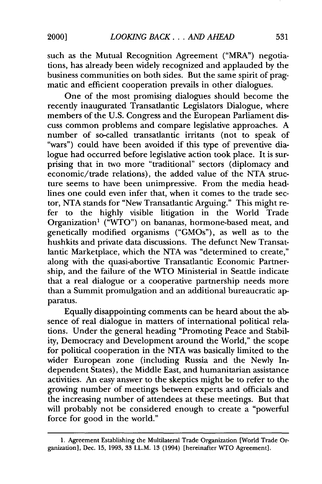such as the Mutual Recognition Agreement ("MRA") negotiations, has already been widely recognized and applauded by the business communities on both sides. But the same spirit of pragmatic and efficient cooperation prevails in other dialogues.

One of the most promising dialogues should become the recently inaugurated Transatlantic Legislators Dialogue, where members of the U.S. Congress and the European Parliament discuss common problems and compare legislative approaches. A number of so-called transatlantic irritants (not to speak of "wars") could have been avoided if this type of preventive dialogue had occurred before legislative action took place. It is surprising that in two more "traditional" sectors (diplomacy and economic/trade relations), the added value of the NTA structure seems to have been unimpressive. From the media headlines one could even infer that, when it comes to the trade sector, NTA stands for "New Transatlantic Arguing." This might refer to the highly visible litigation in the World Trade Organization<sup>1</sup> ("WTO") on bananas, hormone-based meat, and genetically modified organisms ("GMOs"), as well as to the hushkits and private data discussions. The defunct New Transatlantic Marketplace, which the NTA was "determined to create," along with the quasi-abortive Transatlantic Economic Partnership, and the failure of the WTO Ministerial in Seattle indicate that a real dialogue or a cooperative partnership needs more than a Summit promulgation and an additional bureaucratic apparatus.

Equally disappointing comments can be heard about the absence of real dialogue in matters of international political relations. Under the general heading "Promoting Peace and Stability, Democracy and Development around the World," the scope for political cooperation in the NTA was basically limited to the wider European zone (including Russia and the Newly Independent States), the Middle East, and humanitarian assistance activities. An easy answer to the skeptics might be to refer to the growing number of meetings between experts and officials and the increasing number of attendees at these meetings. But that will probably not be considered enough to create a "powerful force for good in the world."

<sup>1.</sup> Agreement Establishing the Multilateral Trade Organization [World Trade Organization], Dec. 15, 1993, 33 I.L.M. 13 (1994) [hereinafter WTO Agreement].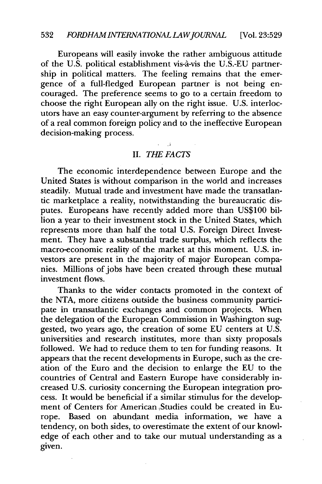Europeans will easily invoke the rather ambiguous attitude of the U.S. political establishment vis-a-vis the U.S.-EU partnership in political matters. The feeling remains that the emergence of a full-fledged European partner is not being encouraged. The preference seems to go to a certain freedom to choose the right European ally on the right issue. U.S. interlocutors have an easy counter-argument by referring to the absence of a real common foreign policy and to the ineffective European decision-making process.

### II. *THE FACTS*

 $\cdot$ 

The economic interdependence between Europe and the United States is without comparison in the world and increases steadily. Mutual trade and investment have made the transatlantic marketplace a reality, notwithstanding the bureaucratic disputes. Europeans have recently added more than US\$100 billion a year to their investment stock in the United States, which represents more than half the total U.S. Foreign Direct Investment. They have a substantial trade surplus, which reflects the macro-economic reality of the market at this moment. U.S. investors are present in the majority of major European companies. Millions of jobs have been created through these mutual investment flows.

Thanks to the wider contacts promoted in the context of the NTA, more citizens outside the business community participate in transatlantic exchanges and common projects. When the delegation of the European Commission in Washington suggested, two years ago, the creation of some EU centers at U.S. universities and research institutes, more than sixty proposals followed. We had to reduce them to ten for funding reasons. It appears that the recent developments in Europe, such as the creation of the Euro and the decision to enlarge the EU to the countries of Central and Eastern Europe have considerably increased U.S. curiosity concerning the European integration process. It would be beneficial if a similar stimulus for the development of Centers for American Studies could be created in Europe. Based on abundant media information, we have a tendency, on both sides, to overestimate the extent of our knowledge of each other and to take our mutual understanding as a given.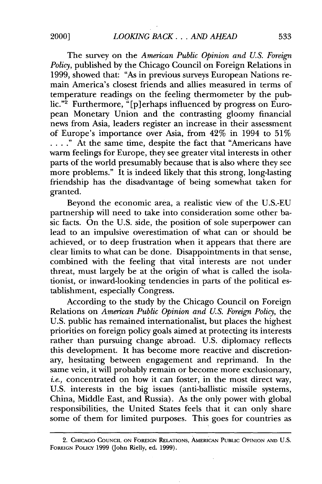The survey on the *American Public Opinion and U.S. Foreign Policy,* published by the Chicago Council on Foreign Relations in 1999, showed that: "As in previous surveys European Nations remain America's closest friends and allies measured in terms of temperature readings on the feeling thermometer by the public."<sup>2</sup> Furthermore, "[p] erhaps influenced by progress on European Monetary Union and the contrasting gloomy financial news from Asia, leaders register an increase in their assessment of Europe's importance over Asia, from 42% in 1994 to 51% ... **."** At the same time, despite the fact that "Americans have warm feelings for Europe, they see greater vital interests in other parts of the world presumably because that is also where they see more problems." It is indeed likely that this strong, long-lasting friendship has the disadvantage of being somewhat taken for granted.

Beyond the economic area, a realistic view of the U.S.-EU partnership will need to take into consideration some other basic facts. On the U.S. side, the position of sole superpower can lead to an impulsive overestimation of what can or should be achieved, or to deep frustration when it appears that there are clear limits to what can be done. Disappointments in that sense, combined with the feeling that vital interests are not under threat, must largely be at the origin of what is called the isolationist, or inward-looking tendencies in parts of the political establishment, especially Congress.

According to the study by the Chicago Council on Foreign Relations on *American Public Opinion and U.S. Foreign Policy,* the U.S. public has remained internationalist, but places the highest priorities on foreign policy goals aimed at protecting its interests rather than pursuing change abroad. U.S. diplomacy reflects this development. It has become more reactive and discretionary, hesitating between engagement and reprimand. In the same vein, it will probably remain or become more exclusionary, *i.e.,* concentrated on how it can foster, in the most direct way, U.S. interests in the big issues (anti-ballistic missile systems, China, Middle East, and Russia). As the only power with global responsibilities, the United States feels that it can only share some of them for limited purposes. This goes for countries as

<sup>2.</sup> **CHICAGO COUNCIL ON FOREIGN RELATIONS, AMERICAN PUBLIC OPINION AND U.S. FOREIGN POLICY** 1999 (John Rielly, ed. 1999).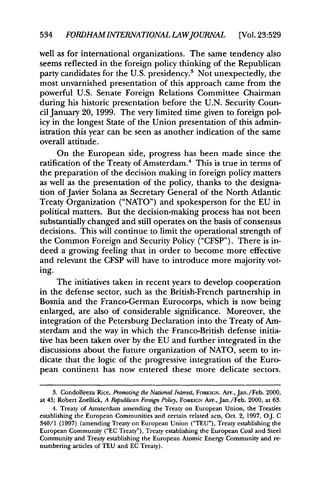well as for international organizations. The same tendency also seems reflected in the foreign policy thinking of the Republican party candidates for the U.S. presidency.<sup>3</sup> Not unexpectedly, the most unvarnished presentation of this approach came from the powerful U.S. Senate Foreign Relations Committee Chairman during his historic presentation before the U.N. Security Council January 20, 1999. The very limited time given to foreign policy in the longest State of the Union presentation of this administration this year can be seen as another indication of the same overall attitude.

On the European side, progress has been made since the ratification of the Treaty of Amsterdam.4 This is true in terms of the preparation of the decision making in foreign policy matters as well as the presentation of the policy, thanks to the designation of Javier Solana as Secretary General of the North Atlantic Treaty Organization ("NATO") and spokesperson for the EU in political matters. But the decision-making process has not been substantially changed and still operates on the basis of consensus decisions. This will continue to limit the operational strength of the Common Foreign and Security Policy ("CFSP"). There is indeed a growing feeling that in order to become more effective and relevant the CFSP will have to introduce more majority voting.

The initiatives taken in recent years to develop cooperation in the defense sector, such as the British-French partnership in Bosnia and the Franco-German Eurocorps, which is now being enlarged, are also of considerable significance. Moreover, the integration of the Petersburg Declaration into the Treaty of Amsterdam and the way in which the Franco-British defense initiative has been taken over by the EU and further integrated in the discussions about the future organization of NATO, seem to indicate that the logic of the progressive integration of the European continent has now entered these more delicate sectors.

**<sup>3.</sup>** Condolleeza Rice, *Promoting the National Interest,* **FoREIGN. AFF.,** Jan./Feb. 2000, at 45; Robert Zoellick, *A Republican Foreign Policy,* FOREIGN **AFi.,** Jan/Feb. 2000, at 63.

<sup>4.</sup> Treaty of Amsterdam amending the Treaty on European Union, the Treaties establishing the European Communities and certain related acts, Oct. 2, 1997, OJ. C 340/1 (1997) (amending Treaty on European Union ("TEU"), Treaty establishing the European Community ("EC Treaty"), Treaty establishing the European Coal and Steel Community and Treaty establishing the European Atomic Energy Community and renumbering articles of TEU and EC Treaty).